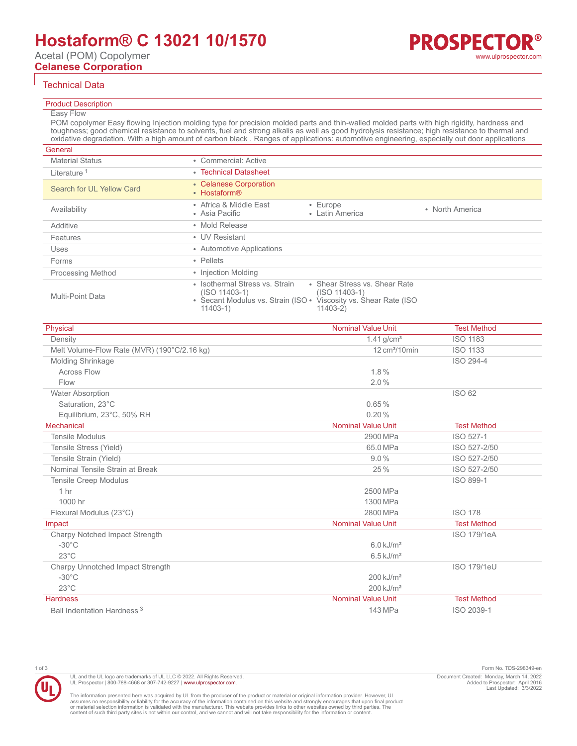# **Hostaform® C 13021 10/1570**

Acetal (POM) Copolymer **Celanese Corporation**

### Technical Data

#### Product Description

## Easy Flow

POM copolymer Easy flowing Injection molding type for precision molded parts and thin-walled molded parts with high rigidity, hardness and toughness; good chemical resistance to solvents, fuel and strong alkalis as well as good hydrolysis resistance; high resistance to thermal and oxidative degradation. With a high amount of carbon black . Ranges of applications: automotive engineering, especially out door applications

| General                   |                                                               |                                                                                                                                    |                 |
|---------------------------|---------------------------------------------------------------|------------------------------------------------------------------------------------------------------------------------------------|-----------------|
| <b>Material Status</b>    | • Commercial: Active                                          |                                                                                                                                    |                 |
| Literature <sup>1</sup>   | • Technical Datasheet                                         |                                                                                                                                    |                 |
| Search for UL Yellow Card | • Celanese Corporation<br>• Hostaform®                        |                                                                                                                                    |                 |
| Availability              | • Africa & Middle East<br>• Asia Pacific                      | • Europe<br>• Latin America                                                                                                        | • North America |
| Additive                  | • Mold Release                                                |                                                                                                                                    |                 |
| Features                  | • UV Resistant                                                |                                                                                                                                    |                 |
| Uses                      | • Automotive Applications                                     |                                                                                                                                    |                 |
| Forms                     | • Pellets                                                     |                                                                                                                                    |                 |
| <b>Processing Method</b>  | • Injection Molding                                           |                                                                                                                                    |                 |
| Multi-Point Data          | • Isothermal Stress vs. Strain<br>(ISO 11403-1)<br>$11403-1)$ | • Shear Stress vs. Shear Rate<br>$(ISO 11403-1)$<br>• Secant Modulus vs. Strain (ISO • Viscosity vs. Shear Rate (ISO<br>$11403-2)$ |                 |

| Physical                                    | <b>Nominal Value Unit</b>       | <b>Test Method</b> |
|---------------------------------------------|---------------------------------|--------------------|
| Density                                     | $1.41$ g/cm <sup>3</sup>        | <b>ISO 1183</b>    |
| Melt Volume-Flow Rate (MVR) (190°C/2.16 kg) | $12 \text{ cm}^3/10 \text{min}$ | <b>ISO 1133</b>    |
| Molding Shrinkage                           |                                 | ISO 294-4          |
| <b>Across Flow</b>                          | $1.8\%$                         |                    |
| Flow                                        | 2.0%                            |                    |
| <b>Water Absorption</b>                     |                                 | <b>ISO 62</b>      |
| Saturation, 23°C                            | 0.65%                           |                    |
| Equilibrium, 23°C, 50% RH                   | 0.20%                           |                    |
| Mechanical                                  | <b>Nominal Value Unit</b>       | <b>Test Method</b> |
| <b>Tensile Modulus</b>                      | 2900 MPa                        | ISO 527-1          |
| Tensile Stress (Yield)                      | 65.0 MPa                        | ISO 527-2/50       |
| Tensile Strain (Yield)                      | $9.0\%$                         | ISO 527-2/50       |
| Nominal Tensile Strain at Break             | 25%                             | ISO 527-2/50       |
| <b>Tensile Creep Modulus</b>                |                                 | ISO 899-1          |
| 1 <sub>hr</sub>                             | 2500 MPa                        |                    |
| 1000 hr                                     | 1300 MPa                        |                    |
| Flexural Modulus (23°C)                     | 2800 MPa                        | <b>ISO 178</b>     |
| Impact                                      | <b>Nominal Value Unit</b>       | <b>Test Method</b> |
| Charpy Notched Impact Strength              |                                 | <b>ISO 179/1eA</b> |
| $-30^{\circ}$ C                             | $6.0$ kJ/m <sup>2</sup>         |                    |
| $23^{\circ}$ C                              | $6.5 \text{ kJ/m}^2$            |                    |
| Charpy Unnotched Impact Strength            |                                 | <b>ISO 179/1eU</b> |
| $-30^{\circ}$ C                             | $200$ kJ/m <sup>2</sup>         |                    |
| $23^{\circ}$ C                              | $200$ kJ/m <sup>2</sup>         |                    |
| <b>Hardness</b>                             | <b>Nominal Value Unit</b>       | <b>Test Method</b> |
| Ball Indentation Hardness <sup>3</sup>      | 143 MPa                         | ISO 2039-1         |



UL and the UL logo are trademarks of UL LLC © 2022. All Rights Reserved. UL Prospector | 800-788-4668 or 307-742-9227 | [www.ulprospector.com](http://www.ulprospector.com).

1 of 3 Form No. TDS-298349-en Document Created: Monday, March 14, 2022 Added to Prospector: April 2016 Last Updated: 3/3/2022

The information presented here was acquired by UL from the producer of the product or material or original information provider. However, UL<br>assumes no responsibility or liability for the accuracy of the information contai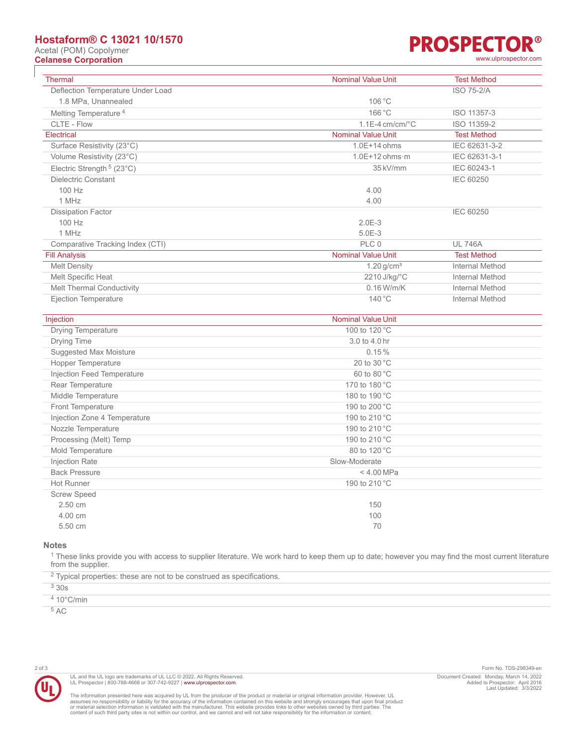# **Hostaform® C 13021 10/1570**

Acetal (POM) Copolymer

# **PROSPECTOR® Celanese Corporation** [www.ulprospector.com](http://www.ulprospector.com)

| Thermal                            | <b>Nominal Value Unit</b>   | <b>Test Method</b>     |
|------------------------------------|-----------------------------|------------------------|
| Deflection Temperature Under Load  |                             | <b>ISO 75-2/A</b>      |
| 1.8 MPa, Unannealed                | 106 °C                      |                        |
| Melting Temperature <sup>4</sup>   | 166 °C                      | ISO 11357-3            |
| CLTE - Flow                        | $1.1E-4$ cm/cm/ $\degree$ C | ISO 11359-2            |
| <b>Electrical</b>                  | <b>Nominal Value Unit</b>   | <b>Test Method</b>     |
| Surface Resistivity (23°C)         | 1.0E+14 ohms                | IEC 62631-3-2          |
| Volume Resistivity (23°C)          | $1.0E+12$ ohms $\cdot$ m    | IEC 62631-3-1          |
| Electric Strength $5(23^{\circ}C)$ | 35 kV/mm                    | IEC 60243-1            |
| <b>Dielectric Constant</b>         |                             | <b>IEC 60250</b>       |
| 100 Hz                             | 4.00                        |                        |
| 1 MHz                              | 4.00                        |                        |
| <b>Dissipation Factor</b>          |                             | <b>IEC 60250</b>       |
| 100 Hz                             | $2.0E-3$                    |                        |
| 1 MHz                              | $5.0E-3$                    |                        |
| Comparative Tracking Index (CTI)   | PLC 0                       | <b>UL 746A</b>         |
| <b>Fill Analysis</b>               | <b>Nominal Value Unit</b>   | <b>Test Method</b>     |
| <b>Melt Density</b>                | $1.20$ g/cm <sup>3</sup>    | <b>Internal Method</b> |
| Melt Specific Heat                 | 2210 J/kg/°C                | <b>Internal Method</b> |
| Melt Thermal Conductivity          | $0.16$ W/m/K                | <b>Internal Method</b> |
| Ejection Temperature               | 140 °C                      | <b>Internal Method</b> |
|                                    |                             |                        |
| Injection                          | <b>Nominal Value Unit</b>   |                        |
| <b>Drying Temperature</b>          | 100 to 120 °C               |                        |
| Drying Time                        | 3.0 to 4.0 hr               |                        |
| <b>Suggested Max Moisture</b>      | 0.15%                       |                        |
| Hopper Temperature                 | 20 to 30 °C                 |                        |
| Injection Feed Temperature         | 60 to 80 °C                 |                        |
| Rear Temperature                   | 170 to 180 °C               |                        |
| Middle Temperature                 | 180 to 190 °C               |                        |
| Front Temperature                  | 190 to 200 °C               |                        |
| Injection Zone 4 Temperature       | 190 to 210 °C               |                        |
| Nozzle Temperature                 | 190 to 210 °C               |                        |
| Processing (Melt) Temp             | 190 to 210 °C               |                        |
| Mold Temperature                   | 80 to 120 °C                |                        |
| Injection Rate                     | Slow-Moderate               |                        |
| <b>Back Pressure</b>               | < 4.00 MPa                  |                        |
| <b>Hot Runner</b>                  | 190 to 210 °C               |                        |
| <b>Screw Speed</b>                 |                             |                        |
| 2.50 cm                            | 150                         |                        |
| 4.00 cm                            | 100                         |                        |
| 5.50 cm                            | 70                          |                        |

**Notes**

<sup>1</sup> These links provide you with access to supplier literature. We work hard to keep them up to date; however you may find the most current literature from the supplier.

| <sup>2</sup> Typical properties: these are not to be construed as specifications. |
|-----------------------------------------------------------------------------------|
| 330s                                                                              |
| $4.10^{\circ}$ C/min                                                              |
| 5AC                                                                               |

UL and the UL logo are trademarks of UL LLC © 2022. All Rights Reserved.<br>UL Prospector | 800-788-4668 or 307-742-9227 | [www.ulprospector.com](http://www.ulprospector.com).

The information presented here was acquired by UL from the producer of the product or material or original information provider. However, UL<br>assumes no responsibility or liability for the accuracy of the information contai